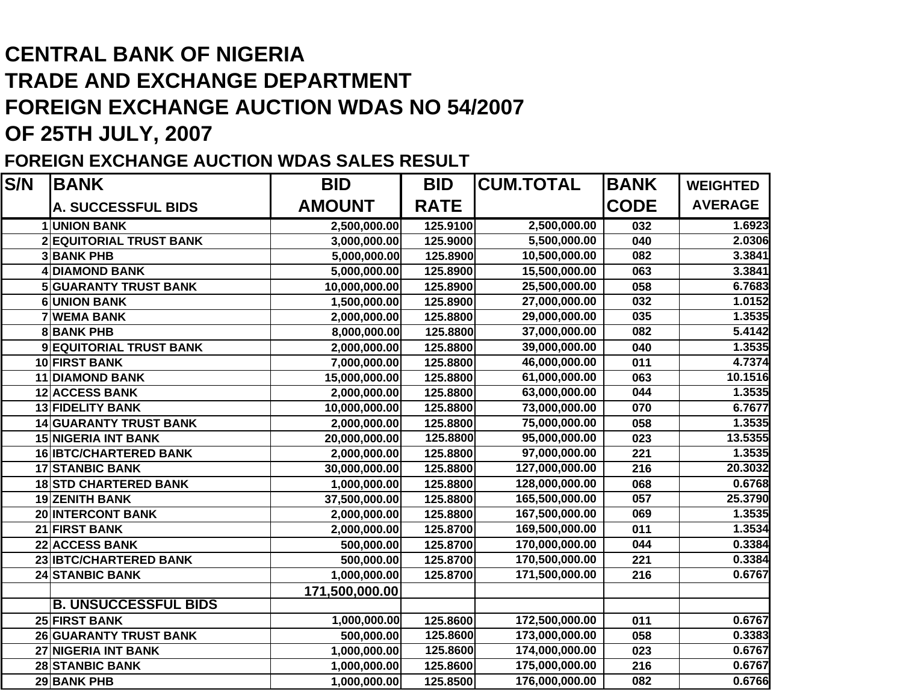## **CENTRAL BANK OF NIGERIATRADE AND EXCHANGE DEPARTMENT FOREIGN EXCHANGE AUCTION WDAS NO 54/2007 OF 25TH JULY, 2007**

## **FOREIGN EXCHANGE AUCTION WDAS SALES RESULT**

| S/N | <b>BANK</b>                   | <b>BID</b>     | <b>BID</b>  | <b>CUM.TOTAL</b> | <b>BANK</b>      | <b>WEIGHTED</b> |
|-----|-------------------------------|----------------|-------------|------------------|------------------|-----------------|
|     | <b>A. SUCCESSFUL BIDS</b>     | <b>AMOUNT</b>  | <b>RATE</b> |                  | <b>CODE</b>      | <b>AVERAGE</b>  |
|     | <b>1 UNION BANK</b>           | 2,500,000.00   | 125.9100    | 2,500,000.00     | 032              | 1.6923          |
|     | 2 EQUITORIAL TRUST BANK       | 3,000,000.00   | 125.9000    | 5,500,000.00     | 040              | 2.0306          |
|     | <b>3 BANK PHB</b>             | 5,000,000.00   | 125.8900    | 10,500,000.00    | 082              | 3.3841          |
|     | <b>4 DIAMOND BANK</b>         | 5,000,000.00   | 125.8900    | 15,500,000.00    | 063              | 3.3841          |
|     | <b>5 GUARANTY TRUST BANK</b>  | 10,000,000.00  | 125.8900    | 25,500,000.00    | 058              | 6.7683          |
|     | <b>6UNION BANK</b>            | 1,500,000.00   | 125.8900    | 27,000,000.00    | 032              | 1.0152          |
|     | <b>7 WEMA BANK</b>            | 2,000,000.00   | 125.8800    | 29,000,000.00    | $\overline{035}$ | 1.3535          |
|     | <b>8BANK PHB</b>              | 8,000,000.00   | 125.8800    | 37,000,000.00    | 082              | 5.4142          |
|     | 9 EQUITORIAL TRUST BANK       | 2,000,000.00   | 125.8800    | 39,000,000.00    | 040              | 1.3535          |
|     | 10 FIRST BANK                 | 7,000,000.00   | 125.8800    | 46,000,000.00    | 011              | 4.7374          |
|     | <b>11 DIAMOND BANK</b>        | 15,000,000.00  | 125.8800    | 61,000,000.00    | 063              | 10.1516         |
|     | <b>12 ACCESS BANK</b>         | 2,000,000.00   | 125.8800    | 63,000,000.00    | 044              | 1.3535          |
|     | <b>13 FIDELITY BANK</b>       | 10,000,000.00  | 125.8800    | 73,000,000.00    | 070              | 6.7677          |
|     | <b>14 GUARANTY TRUST BANK</b> | 2,000,000.00   | 125.8800    | 75,000,000.00    | 058              | 1.3535          |
|     | <b>15 NIGERIA INT BANK</b>    | 20,000,000.00  | 125.8800    | 95,000,000.00    | 023              | 13.5355         |
|     | <b>16 IBTC/CHARTERED BANK</b> | 2,000,000.00   | 125.8800    | 97,000,000.00    | 221              | 1.3535          |
|     | <b>17 STANBIC BANK</b>        | 30,000,000.00  | 125.8800    | 127,000,000.00   | 216              | 20.3032         |
|     | <b>18 STD CHARTERED BANK</b>  | 1,000,000.00   | 125.8800    | 128,000,000.00   | 068              | 0.6768          |
|     | <b>19 ZENITH BANK</b>         | 37,500,000.00  | 125.8800    | 165,500,000.00   | 057              | 25.3790         |
|     | <b>20 INTERCONT BANK</b>      | 2,000,000.00   | 125.8800    | 167,500,000.00   | 069              | 1.3535          |
|     | 21 FIRST BANK                 | 2,000,000.00   | 125.8700    | 169,500,000.00   | 011              | 1.3534          |
|     | 22 ACCESS BANK                | 500,000.00     | 125.8700    | 170,000,000.00   | 044              | 0.3384          |
|     | 23 IBTC/CHARTERED BANK        | 500,000.00     | 125.8700    | 170,500,000.00   | 221              | 0.3384          |
|     | <b>24 STANBIC BANK</b>        | 1,000,000.00   | 125.8700    | 171,500,000.00   | 216              | 0.6767          |
|     |                               | 171,500,000.00 |             |                  |                  |                 |
|     | <b>B. UNSUCCESSFUL BIDS</b>   |                |             |                  |                  |                 |
|     | 25 FIRST BANK                 | 1,000,000.00   | 125.8600    | 172,500,000.00   | 011              | 0.6767          |
|     | <b>26 GUARANTY TRUST BANK</b> | 500,000.00     | 125.8600    | 173,000,000.00   | 058              | 0.3383          |
|     | 27 NIGERIA INT BANK           | 1,000,000.00   | 125.8600    | 174,000,000.00   | 023              | 0.6767          |
|     | <b>28 STANBIC BANK</b>        | 1,000,000.00   | 125.8600    | 175,000,000.00   | 216              | 0.6767          |
|     | <b>29 BANK PHB</b>            | 1,000,000.00   | 125.8500    | 176,000,000.00   | 082              | 0.6766          |